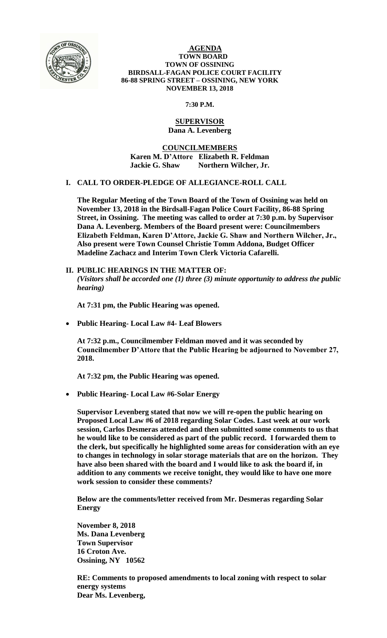

#### **AGENDA TOWN BOARD TOWN OF OSSINING BIRDSALL-FAGAN POLICE COURT FACILITY 86-88 SPRING STREET – OSSINING, NEW YORK NOVEMBER 13, 2018**

**7:30 P.M.**

#### **SUPERVISOR Dana A. Levenberg**

**COUNCILMEMBERS Karen M. D'Attore Elizabeth R. Feldman Jackie G. Shaw Northern Wilcher, Jr.**

# **I. CALL TO ORDER-PLEDGE OF ALLEGIANCE-ROLL CALL**

**The Regular Meeting of the Town Board of the Town of Ossining was held on November 13, 2018 in the Birdsall-Fagan Police Court Facility, 86-88 Spring Street, in Ossining. The meeting was called to order at 7:30 p.m. by Supervisor Dana A. Levenberg. Members of the Board present were: Councilmembers Elizabeth Feldman, Karen D'Attore, Jackie G. Shaw and Northern Wilcher, Jr., Also present were Town Counsel Christie Tomm Addona, Budget Officer Madeline Zachacz and Interim Town Clerk Victoria Cafarelli.** 

**II. PUBLIC HEARINGS IN THE MATTER OF:** *(Visitors shall be accorded one (1) three (3) minute opportunity to address the public hearing)*

**At 7:31 pm, the Public Hearing was opened.** 

**Public Hearing- Local Law #4- Leaf Blowers**

**At 7:32 p.m., Councilmember Feldman moved and it was seconded by Councilmember D'Attore that the Public Hearing be adjourned to November 27, 2018.** 

**At 7:32 pm, the Public Hearing was opened.** 

**Public Hearing- Local Law #6-Solar Energy**

**Supervisor Levenberg stated that now we will re-open the public hearing on Proposed Local Law #6 of 2018 regarding Solar Codes. Last week at our work session, Carlos Desmeras attended and then submitted some comments to us that he would like to be considered as part of the public record. I forwarded them to the clerk, but specifically he highlighted some areas for consideration with an eye to changes in technology in solar storage materials that are on the horizon. They have also been shared with the board and I would like to ask the board if, in addition to any comments we receive tonight, they would like to have one more work session to consider these comments?**

**Below are the comments/letter received from Mr. Desmeras regarding Solar Energy**

**November 8, 2018 Ms. Dana Levenberg Town Supervisor 16 Croton Ave. Ossining, NY 10562**

**RE: Comments to proposed amendments to local zoning with respect to solar energy systems Dear Ms. Levenberg,**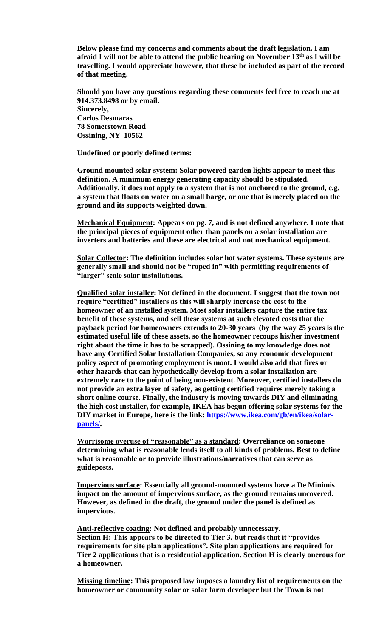**Below please find my concerns and comments about the draft legislation. I am afraid I will not be able to attend the public hearing on November 13th as I will be travelling. I would appreciate however, that these be included as part of the record of that meeting.**

**Should you have any questions regarding these comments feel free to reach me at 914.373.8498 or by email. Sincerely, Carlos Desmaras 78 Somerstown Road Ossining, NY 10562**

**Undefined or poorly defined terms:**

**Ground mounted solar system: Solar powered garden lights appear to meet this definition. A minimum energy generating capacity should be stipulated. Additionally, it does not apply to a system that is not anchored to the ground, e.g. a system that floats on water on a small barge, or one that is merely placed on the ground and its supports weighted down.**

**Mechanical Equipment: Appears on pg. 7, and is not defined anywhere. I note that the principal pieces of equipment other than panels on a solar installation are inverters and batteries and these are electrical and not mechanical equipment.**

**Solar Collector: The definition includes solar hot water systems. These systems are generally small and should not be "roped in" with permitting requirements of "larger" scale solar installations.**

**Qualified solar installer: Not defined in the document. I suggest that the town not require "certified" installers as this will sharply increase the cost to the homeowner of an installed system. Most solar installers capture the entire tax benefit of these systems, and sell these systems at such elevated costs that the payback period for homeowners extends to 20-30 years (by the way 25 years is the estimated useful life of these assets, so the homeowner recoups his/her investment right about the time it has to be scrapped). Ossining to my knowledge does not have any Certified Solar Installation Companies, so any economic development policy aspect of promoting employment is moot. I would also add that fires or other hazards that can hypothetically develop from a solar installation are extremely rare to the point of being non-existent. Moreover, certified installers do not provide an extra layer of safety, as getting certified requires merely taking a short online course. Finally, the industry is moving towards DIY and eliminating the high cost installer, for example, IKEA has begun offering solar systems for the DIY market in Europe, here is the link: [https://www.ikea.com/gb/en/ikea/solar](https://www.ikea.com/gb/en/ikea/solar-panels/)[panels/.](https://www.ikea.com/gb/en/ikea/solar-panels/)**

**Worrisome overuse of "reasonable" as a standard: Overreliance on someone determining what is reasonable lends itself to all kinds of problems. Best to define what is reasonable or to provide illustrations/narratives that can serve as guideposts.**

**Impervious surface: Essentially all ground-mounted systems have a De Minimis impact on the amount of impervious surface, as the ground remains uncovered. However, as defined in the draft, the ground under the panel is defined as impervious.** 

**Anti-reflective coating: Not defined and probably unnecessary. Section H: This appears to be directed to Tier 3, but reads that it "provides requirements for site plan applications". Site plan applications are required for Tier 2 applications that is a residential application. Section H is clearly onerous for a homeowner.**

**Missing timeline: This proposed law imposes a laundry list of requirements on the homeowner or community solar or solar farm developer but the Town is not**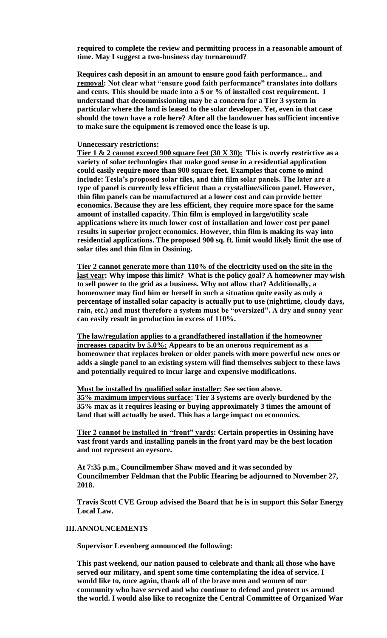**required to complete the review and permitting process in a reasonable amount of time. May I suggest a two-business day turnaround?**

**Requires cash deposit in an amount to ensure good faith performance... and removal: Not clear what "ensure good faith performance" translates into dollars and cents. This should be made into a \$ or % of installed cost requirement. I understand that decommissioning may be a concern for a Tier 3 system in particular where the land is leased to the solar developer. Yet, even in that case should the town have a role here? After all the landowner has sufficient incentive to make sure the equipment is removed once the lease is up.** 

#### **Unnecessary restrictions:**

**Tier 1 & 2 cannot exceed 900 square feet (30 X 30): This is overly restrictive as a variety of solar technologies that make good sense in a residential application could easily require more than 900 square feet. Examples that come to mind include: Tesla's proposed solar tiles, and thin film solar panels. The later are a type of panel is currently less efficient than a crystalline/silicon panel. However, thin film panels can be manufactured at a lower cost and can provide better economics. Because they are less efficient, they require more space for the same amount of installed capacity. Thin film is employed in large/utility scale applications where its much lower cost of installation and lower cost per panel results in superior project economics. However, thin film is making its way into residential applications. The proposed 900 sq. ft. limit would likely limit the use of solar tiles and thin film in Ossining.**

**Tier 2 cannot generate more than 110% of the electricity used on the site in the last year: Why impose this limit? What is the policy goal? A homeowner may wish to sell power to the grid as a business. Why not allow that? Additionally, a homeowner may find him or herself in such a situation quite easily as only a percentage of installed solar capacity is actually put to use (nighttime, cloudy days, rain, etc.) and must therefore a system must be "oversized". A dry and sunny year can easily result in production in excess of 110%.** 

**The law/regulation applies to a grandfathered installation if the homeowner increases capacity by 5.0%: Appears to be an onerous requirement as a homeowner that replaces broken or older panels with more powerful new ones or adds a single panel to an existing system will find themselves subject to these laws and potentially required to incur large and expensive modifications.**

**Must be installed by qualified solar installer: See section above. 35% maximum impervious surface: Tier 3 systems are overly burdened by the 35% max as it requires leasing or buying approximately 3 times the amount of land that will actually be used. This has a large impact on economics.**

**Tier 2 cannot be installed in "front" yards: Certain properties in Ossining have vast front yards and installing panels in the front yard may be the best location and not represent an eyesore.**

**At 7:35 p.m., Councilmember Shaw moved and it was seconded by Councilmember Feldman that the Public Hearing be adjourned to November 27, 2018.**

**Travis Scott CVE Group advised the Board that he is in support this Solar Energy Local Law.** 

# **III.ANNOUNCEMENTS**

**Supervisor Levenberg announced the following:**

**This past weekend, our nation paused to celebrate and thank all those who have served our military, and spent some time contemplating the idea of service. I would like to, once again, thank all of the brave men and women of our community who have served and who continue to defend and protect us around the world. I would also like to recognize the Central Committee of Organized War**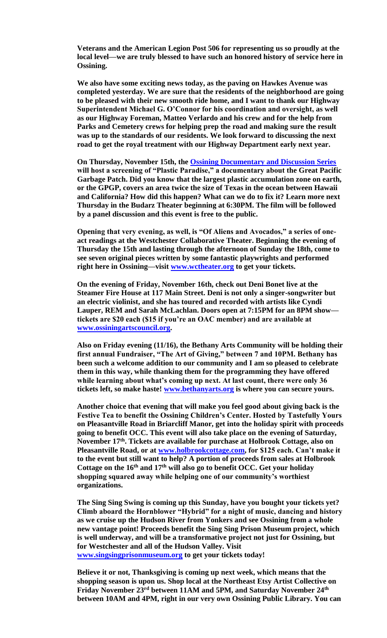**Veterans and the American Legion Post 506 for representing us so proudly at the local level—we are truly blessed to have such an honored history of service here in Ossining.**

**We also have some exciting news today, as the paving on Hawkes Avenue was completed yesterday. We are sure that the residents of the neighborhood are going to be pleased with their new smooth ride home, and I want to thank our Highway Superintendent Michael G. O'Connor for his coordination and oversight, as well as our Highway Foreman, Matteo Verlardo and his crew and for the help from Parks and Cemetery crews for helping prep the road and making sure the result was up to the standards of our residents. We look forward to discussing the next road to get the royal treatment with our Highway Department early next year.**

**On Thursday, November 15th, the [Ossining Documentary and Discussion Series](https://ossiningdocumentaries.org/) will host a screening of "Plastic Paradise," a documentary about the Great Pacific Garbage Patch. Did you know that the largest plastic accumulation zone on earth, or the GPGP, covers an area twice the size of Texas in the ocean between Hawaii and California? How did this happen? What can we do to fix it? Learn more next Thursday in the Budarz Theater beginning at 6:30PM. The film will be followed by a panel discussion and this event is free to the public.** 

**Opening that very evening, as well, is "Of Aliens and Avocados," a series of oneact readings at the Westchester Collaborative Theater. Beginning the evening of Thursday the 15th and lasting through the afternoon of Sunday the 18th, come to see seven original pieces written by some fantastic playwrights and performed right here in Ossining—visit [www.wctheater.org](http://www.wctheater.org/) to get your tickets.**

**On the evening of Friday, November 16th, check out Deni Bonet live at the Steamer Fire House at 117 Main Street. Deni is not only a singer-songwriter but an electric violinist, and she has toured and recorded with artists like Cyndi Lauper, REM and Sarah McLachlan. Doors open at 7:15PM for an 8PM show tickets are \$20 each (\$15 if you're an OAC member) and are available at [www.ossiningartscouncil.org.](http://www.ossiningartscouncil.org/)**

**Also on Friday evening (11/16), the Bethany Arts Community will be holding their first annual Fundraiser, "The Art of Giving," between 7 and 10PM. Bethany has been such a welcome addition to our community and I am so pleased to celebrate them in this way, while thanking them for the programming they have offered while learning about what's coming up next. At last count, there were only 36 tickets left, so make haste! [www.bethanyarts.org](http://www.bethanyarts.org/) is where you can secure yours.**

**Another choice that evening that will make you feel good about giving back is the Festive Tea to benefit the Ossining Children's Center. Hosted by Tastefully Yours on Pleasantville Road in Briarcliff Manor, get into the holiday spirit with proceeds going to benefit OCC. This event will also take place on the evening of Saturday, November 17th. Tickets are available for purchase at Holbrook Cottage, also on Pleasantville Road, or at [www.holbrookcottage.com,](http://www.holbrookcottage.com/) for \$125 each. Can't make it to the event but still want to help? A portion of proceeds from sales at Holbrook Cottage on the 16th and 17th will also go to benefit OCC. Get your holiday shopping squared away while helping one of our community's worthiest organizations.** 

**The Sing Sing Swing is coming up this Sunday, have you bought your tickets yet? Climb aboard the Hornblower "Hybrid" for a night of music, dancing and history as we cruise up the Hudson River from Yonkers and see Ossining from a whole new vantage point! Proceeds benefit the Sing Sing Prison Museum project, which is well underway, and will be a transformative project not just for Ossining, but for Westchester and all of the Hudson Valley. Visit [www.singsingprisonmuseum.org](http://www.singsingprisonmuseum.org/) to get your tickets today!**

**Believe it or not, Thanksgiving is coming up next week, which means that the shopping season is upon us. Shop local at the Northeast Etsy Artist Collective on Friday November 23rd between 11AM and 5PM, and Saturday November 24th between 10AM and 4PM, right in our very own Ossining Public Library. You can**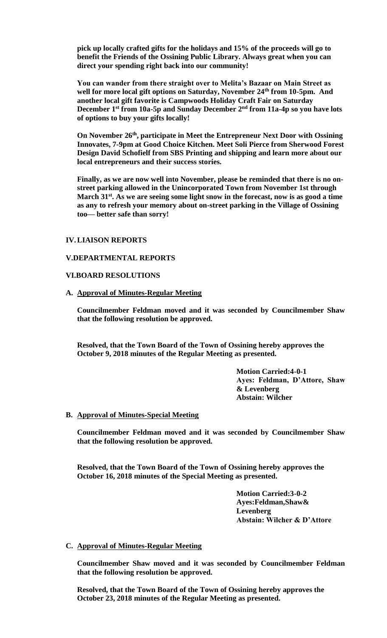**pick up locally crafted gifts for the holidays and 15% of the proceeds will go to benefit the Friends of the Ossining Public Library. Always great when you can direct your spending right back into our community!**

**You can wander from there straight over to Melita's Bazaar on Main Street as well for more local gift options on Saturday, November 24th from 10-5pm. And another local gift favorite is Campwoods Holiday Craft Fair on Saturday December 1st from 10a-5p and Sunday December 2nd from 11a-4p so you have lots of options to buy your gifts locally!**

**On November 26th, participate in Meet the Entrepreneur Next Door with Ossining Innovates, 7-9pm at Good Choice Kitchen. Meet Soli Pierce from Sherwood Forest Design David Schofielf from SBS Printing and shipping and learn more about our local entrepreneurs and their success stories.**

**Finally, as we are now well into November, please be reminded that there is no onstreet parking allowed in the Unincorporated Town from November 1st through March 31st. As we are seeing some light snow in the forecast, now is as good a time as any to refresh your memory about on-street parking in the Village of Ossining too— better safe than sorry!**

# **IV.LIAISON REPORTS**

#### **V.DEPARTMENTAL REPORTS**

#### **VI.BOARD RESOLUTIONS**

**A. Approval of Minutes-Regular Meeting**

**Councilmember Feldman moved and it was seconded by Councilmember Shaw that the following resolution be approved.** 

**Resolved, that the Town Board of the Town of Ossining hereby approves the October 9, 2018 minutes of the Regular Meeting as presented.**

> **Motion Carried:4-0-1 Ayes: Feldman, D'Attore, Shaw & Levenberg Abstain: Wilcher**

# **B. Approval of Minutes-Special Meeting**

**Councilmember Feldman moved and it was seconded by Councilmember Shaw that the following resolution be approved.** 

**Resolved, that the Town Board of the Town of Ossining hereby approves the October 16, 2018 minutes of the Special Meeting as presented.**

> **Motion Carried:3-0-2 Ayes:Feldman,Shaw& Levenberg Abstain: Wilcher & D'Attore**

### **C. Approval of Minutes-Regular Meeting**

**Councilmember Shaw moved and it was seconded by Councilmember Feldman that the following resolution be approved.** 

**Resolved, that the Town Board of the Town of Ossining hereby approves the October 23, 2018 minutes of the Regular Meeting as presented.**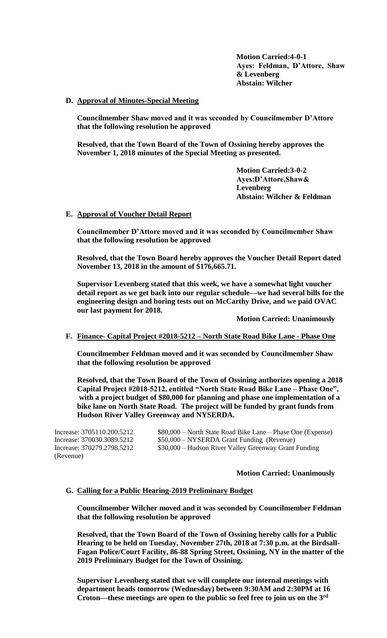**Motion Carried:4-0-1 Ayes: Feldman, D'Attore, Shaw & Levenberg Abstain: Wilcher**

#### **D. Approval of Minutes-Special Meeting**

**Councilmember Shaw moved and it was seconded by Councilmember D'Attore that the following resolution be approved**

**Resolved, that the Town Board of the Town of Ossining hereby approves the November 1, 2018 minutes of the Special Meeting as presented.**

> **Motion Carried:3-0-2 Ayes:D'Attore,Shaw& Levenberg Abstain: Wilcher & Feldman**

#### **E. Approval of Voucher Detail Report**

**Councilmember D'Attore moved and it was seconded by Councilmember Shaw that the following resolution be approved**

**Resolved, that the Town Board hereby approves the Voucher Detail Report dated November 13, 2018 in the amount of \$176,665.71.**

**Supervisor Levenberg stated that this week, we have a somewhat light voucher detail report as we get back into our regular schedule—we had several bills for the engineering design and boring tests out on McCarthy Drive, and we paid OVAC our last payment for 2018.**

**Motion Carried: Unanimously**

# **F. Finance- Capital Project #2018-5212 – North State Road Bike Lane - Phase One**

**Councilmember Feldman moved and it was seconded by Councilmember Shaw that the following resolution be approved**

**Resolved, that the Town Board of the Town of Ossining authorizes opening a 2018 Capital Project #2018-5212, entitled "North State Road Bike Lane – Phase One", with a project budget of \$80,000 for planning and phase one implementation of a bike lane on North State Road. The project will be funded by grant funds from Hudson River Valley Greenway and NYSERDA.** 

(Revenue)

Increase: 3705110.200.5212 \$80,000 – North State Road Bike Lane – Phase One (Expense) Increase: 370030.3089.5212 \$50,000 – NYSERDA Grant Funding (Revenue) Increase: 370279.2798.5212 \$30,000 – Hudson River Valley Greenway Grant Funding

# **Motion Carried: Unanimously**

# **G. Calling for a Public Hearing-2019 Preliminary Budget**

**Councilmember Wilcher moved and it was seconded by Councilmember Feldman that the following resolution be approved**

**Resolved, that the Town Board of the Town of Ossining hereby calls for a Public Hearing to be held on Tuesday, November 27th, 2018 at 7:30 p.m. at the Birdsall-Fagan Police/Court Facility, 86-88 Spring Street, Ossining, NY in the matter of the 2019 Preliminary Budget for the Town of Ossining.**

**Supervisor Levenberg stated that we will complete our internal meetings with department heads tomorrow (Wednesday) between 9:30AM and 2:30PM at 16 Croton—these meetings are open to the public so feel free to join us on the 3rd**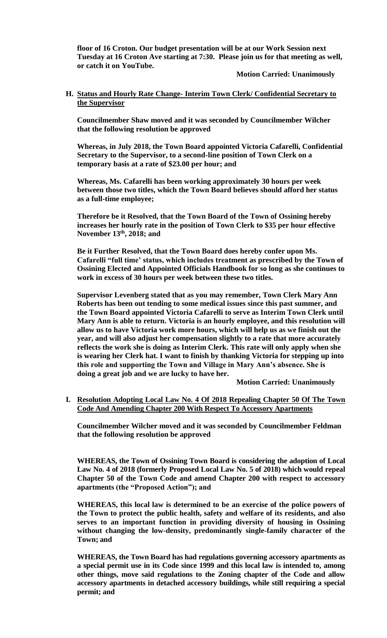**floor of 16 Croton. Our budget presentation will be at our Work Session next Tuesday at 16 Croton Ave starting at 7:30. Please join us for that meeting as well, or catch it on YouTube.**

# **Motion Carried: Unanimously**

# **H. Status and Hourly Rate Change- Interim Town Clerk/ Confidential Secretary to the Supervisor**

**Councilmember Shaw moved and it was seconded by Councilmember Wilcher that the following resolution be approved**

**Whereas, in July 2018, the Town Board appointed Victoria Cafarelli, Confidential Secretary to the Supervisor, to a second-line position of Town Clerk on a temporary basis at a rate of \$23.00 per hour; and**

**Whereas, Ms. Cafarelli has been working approximately 30 hours per week between those two titles, which the Town Board believes should afford her status as a full-time employee;**

**Therefore be it Resolved, that the Town Board of the Town of Ossining hereby increases her hourly rate in the position of Town Clerk to \$35 per hour effective November 13th, 2018; and**

**Be it Further Resolved, that the Town Board does hereby confer upon Ms. Cafarelli "full time' status, which includes treatment as prescribed by the Town of Ossining Elected and Appointed Officials Handbook for so long as she continues to work in excess of 30 hours per week between these two titles.**

**Supervisor Levenberg stated that as you may remember, Town Clerk Mary Ann Roberts has been out tending to some medical issues since this past summer, and the Town Board appointed Victoria Cafarelli to serve as Interim Town Clerk until Mary Ann is able to return. Victoria is an hourly employee, and this resolution will allow us to have Victoria work more hours, which will help us as we finish out the year, and will also adjust her compensation slightly to a rate that more accurately reflects the work she is doing as Interim Clerk. This rate will only apply when she is wearing her Clerk hat. I want to finish by thanking Victoria for stepping up into this role and supporting the Town and Village in Mary Ann's absence. She is doing a great job and we are lucky to have her.**

**Motion Carried: Unanimously**

**I. Resolution Adopting Local Law No. 4 Of 2018 Repealing Chapter 50 Of The Town Code And Amending Chapter 200 With Respect To Accessory Apartments**

**Councilmember Wilcher moved and it was seconded by Councilmember Feldman that the following resolution be approved**

**WHEREAS, the Town of Ossining Town Board is considering the adoption of Local Law No. 4 of 2018 (formerly Proposed Local Law No. 5 of 2018) which would repeal Chapter 50 of the Town Code and amend Chapter 200 with respect to accessory apartments (the "Proposed Action"); and**

**WHEREAS, this local law is determined to be an exercise of the police powers of the Town to protect the public health, safety and welfare of its residents, and also serves to an important function in providing diversity of housing in Ossining without changing the low-density, predominantly single-family character of the Town; and**

**WHEREAS, the Town Board has had regulations governing accessory apartments as a special permit use in its Code since 1999 and this local law is intended to, among other things, move said regulations to the Zoning chapter of the Code and allow accessory apartments in detached accessory buildings, while still requiring a special permit; and**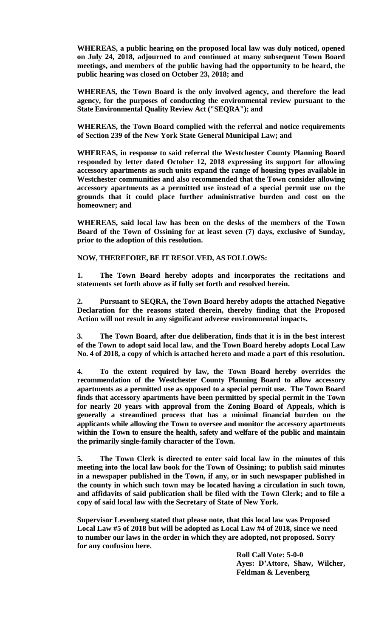**WHEREAS, a public hearing on the proposed local law was duly noticed, opened on July 24, 2018, adjourned to and continued at many subsequent Town Board meetings, and members of the public having had the opportunity to be heard, the public hearing was closed on October 23, 2018; and**

**WHEREAS, the Town Board is the only involved agency, and therefore the lead agency, for the purposes of conducting the environmental review pursuant to the State Environmental Quality Review Act ("SEQRA"); and**

**WHEREAS, the Town Board complied with the referral and notice requirements of Section 239 of the New York State General Municipal Law; and**

**WHEREAS, in response to said referral the Westchester County Planning Board responded by letter dated October 12, 2018 expressing its support for allowing accessory apartments as such units expand the range of housing types available in Westchester communities and also recommended that the Town consider allowing accessory apartments as a permitted use instead of a special permit use on the grounds that it could place further administrative burden and cost on the homeowner; and**

**WHEREAS, said local law has been on the desks of the members of the Town Board of the Town of Ossining for at least seven (7) days, exclusive of Sunday, prior to the adoption of this resolution.**

**NOW, THEREFORE, BE IT RESOLVED, AS FOLLOWS:**

**1. The Town Board hereby adopts and incorporates the recitations and statements set forth above as if fully set forth and resolved herein.**

**2. Pursuant to SEQRA, the Town Board hereby adopts the attached Negative Declaration for the reasons stated therein, thereby finding that the Proposed Action will not result in any significant adverse environmental impacts.**

**3. The Town Board, after due deliberation, finds that it is in the best interest of the Town to adopt said local law, and the Town Board hereby adopts Local Law No. 4 of 2018, a copy of which is attached hereto and made a part of this resolution.**

**4. To the extent required by law, the Town Board hereby overrides the recommendation of the Westchester County Planning Board to allow accessory apartments as a permitted use as opposed to a special permit use. The Town Board finds that accessory apartments have been permitted by special permit in the Town for nearly 20 years with approval from the Zoning Board of Appeals, which is generally a streamlined process that has a minimal financial burden on the applicants while allowing the Town to oversee and monitor the accessory apartments within the Town to ensure the health, safety and welfare of the public and maintain the primarily single-family character of the Town.** 

**5. The Town Clerk is directed to enter said local law in the minutes of this meeting into the local law book for the Town of Ossining; to publish said minutes in a newspaper published in the Town, if any, or in such newspaper published in the county in which such town may be located having a circulation in such town, and affidavits of said publication shall be filed with the Town Clerk; and to file a copy of said local law with the Secretary of State of New York.** 

**Supervisor Levenberg stated that please note, that this local law was Proposed Local Law #5 of 2018 but will be adopted as Local Law #4 of 2018, since we need to number our laws in the order in which they are adopted, not proposed. Sorry for any confusion here.**

> **Roll Call Vote: 5-0-0 Ayes: D'Attore, Shaw, Wilcher, Feldman & Levenberg**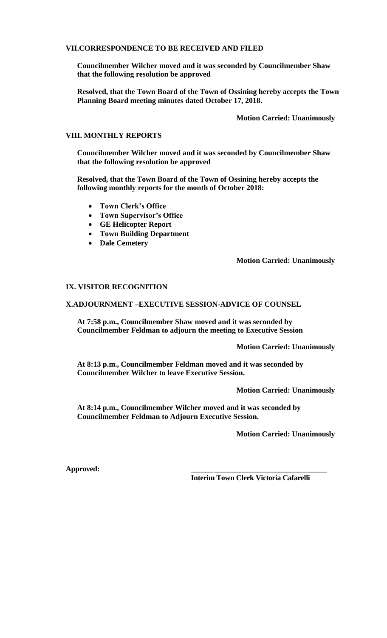#### **VII.CORRESPONDENCE TO BE RECEIVED AND FILED**

**Councilmember Wilcher moved and it was seconded by Councilmember Shaw that the following resolution be approved**

**Resolved, that the Town Board of the Town of Ossining hereby accepts the Town Planning Board meeting minutes dated October 17, 2018.** 

**Motion Carried: Unanimously**

#### **VIII. MONTHLY REPORTS**

**Councilmember Wilcher moved and it was seconded by Councilmember Shaw that the following resolution be approved**

**Resolved, that the Town Board of the Town of Ossining hereby accepts the following monthly reports for the month of October 2018:**

- **Town Clerk's Office**
- **Town Supervisor's Office**
- **GE Helicopter Report**
- **Town Building Department**
- **Dale Cemetery**

#### **Motion Carried: Unanimously**

#### **IX. VISITOR RECOGNITION**

#### **X.ADJOURNMENT –EXECUTIVE SESSION-ADVICE OF COUNSEL**

**At 7:58 p.m., Councilmember Shaw moved and it was seconded by Councilmember Feldman to adjourn the meeting to Executive Session**

**Motion Carried: Unanimously**

**At 8:13 p.m., Councilmember Feldman moved and it was seconded by Councilmember Wilcher to leave Executive Session.**

**Motion Carried: Unanimously**

**At 8:14 p.m., Councilmember Wilcher moved and it was seconded by Councilmember Feldman to Adjourn Executive Session.**

**Motion Carried: Unanimously**

 $Appproved:$ 

**Interim Town Clerk Victoria Cafarelli**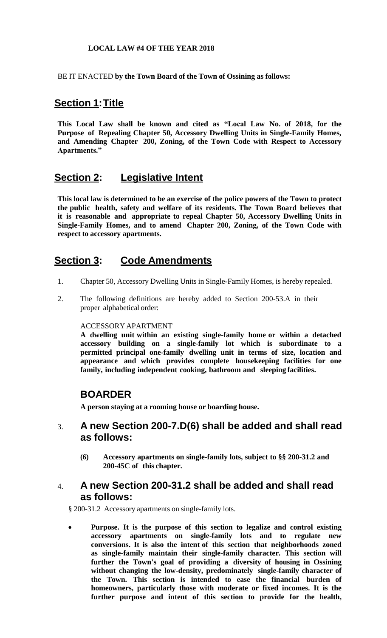# **LOCAL LAW #4 OF THE YEAR 2018**

BE IT ENACTED **by the Town Board of the Town of Ossining as follows:**

# **Section 1:Title**

**This Local Law shall be known and cited as "Local Law No. of 2018, for the Purpose of Repealing Chapter 50, Accessory Dwelling Units in Single-Family Homes, and Amending Chapter 200, Zoning, of the Town Code with Respect to Accessory Apartments."**

# **Section 2: Legislative Intent**

**This local law is determined to be an exercise of the police powers of the Town to protect the public health, safety and welfare of its residents. The Town Board believes that it is reasonable and appropriate to repeal Chapter 50, Accessory Dwelling Units in Single-Family Homes, and to amend Chapter 200, Zoning, of the Town Code with respect to accessory apartments.**

# **Section 3: Code Amendments**

- 1. Chapter 50, Accessory Dwelling Units in Single-Family Homes, is hereby repealed.
- 2. The following definitions are hereby added to Section 200-53.A in their proper alphabetical order:

# ACCESSORY APARTMENT

**A dwelling unit within an existing single-family home or within a detached accessory building on a single-family lot which is subordinate to a permitted principal one-family dwelling unit in terms of size, location and appearance and which provides complete housekeeping facilities for one family, including independent cooking, bathroom and sleeping facilities.**

# **BOARDER**

**A person staying at a rooming house or boarding house.**

# 3. **A new Section 200-7.D(6) shall be added and shall read as follows:**

**(6) Accessory apartments on single-family lots, subject to §§ 200-31.2 and 200-45C of this chapter.**

# 4. **A new Section 200-31.2 shall be added and shall read as follows:**

§ 200-31.2 Accessory apartments on [single-family](http://www.ecode360.com/8407171#8407172%238407172) lots.

 **[Purpose.](http://www.ecode360.com/8407171#8407172%238407172) It is the purpose of this section to legalize and control existing accessory apartments on single-family lots and to regulate new conversions. It is also the intent of this section that neighborhoods zoned as single-family maintain their single-family character. This section will further the Town's goal of providing a diversity of housing in Ossining without changing the low-density, predominately single-family character of the Town. This section is intended to ease the financial burden of homeowners, particularly those with moderate or fixed incomes. It is the further purpose and intent of this section to provide for the health,**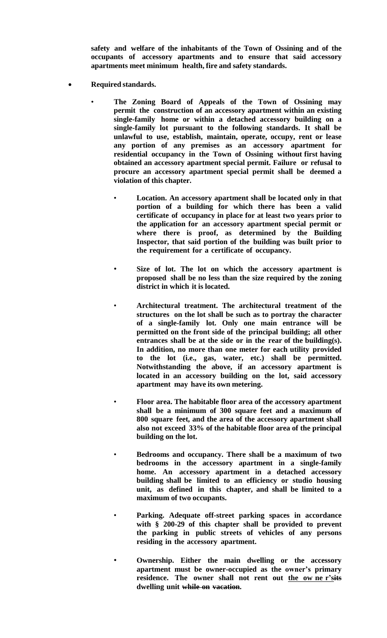**safety and welfare of the inhabitants of the Town of Ossining and of the occupants of accessory apartments and to ensure that said accessory apartments meet minimum health, fire and safety standards.**

- **Required standards.**
	- **The Zoning Board of Appeals of the Town of Ossining may permit the construction of an accessory apartment within an existing single-family home or within a detached accessory building on a single-family lot pursuant to the following standards. It shall be unlawful to use, establish, maintain, operate, occupy, rent or lease any portion of any premises as an accessory apartment for residential occupancy in the Town of Ossining without first having obtained an accessory apartment special permit. Failure or refusal to procure an accessory apartment special permit shall be deemed a violation of this chapter.**
		- **Location. An accessory apartment shall be located only in that portion of a building for which there has been a valid certificate of occupancy in place for at least two years prior to the application for an accessory apartment special permit or where there is proof, as determined by the Building Inspector, that said portion of the building was built prior to the requirement for a certificate of occupancy.**
		- **Size of lot. The lot on which the accessory apartment is proposed shall be no less than the size required by the zoning district in which it is located.**
		- **Architectural treatment. The architectural treatment of the structures on the lot shall be such as to portray the character of a single-family lot. Only one main entrance will be permitted on the front side of the principal building; all other entrances shall be at the side or in the rear of the building(s). In addition, no more than one meter for each utility provided to the lot (i.e., gas, water, etc.) shall be permitted. Notwithstanding the above, if an accessory apartment is located in an accessory building on the lot, said accessory apartment may have its own metering.**
		- **Floor area. The habitable floor area of the accessory apartment shall be a minimum of 300 square feet and a maximum of 800 square feet, and the area of the accessory apartment shall also not exceed 33% of the habitable floor area of the principal building on the lot.**
		- **Bedrooms and occupancy. There shall be a maximum of two bedrooms in the accessory apartment in a single-family home. An accessory apartment in a detached accessory building shall be limited to an efficiency or studio housing unit, as defined in this chapter, and shall be limited to a maximum of two occupants.**
		- **Parking. Adequate off-street parking spaces in accordance with § 200-29 of this chapter shall be provided to prevent the parking in public streets of vehicles of any persons residing in the accessory apartment.**
		- **Ownership. Either the main dwelling or the accessory apartment must be owner-occupied as the owner's primary residence. The owner shall not rent out the ow ne r'sits dwelling unit while on vacation.**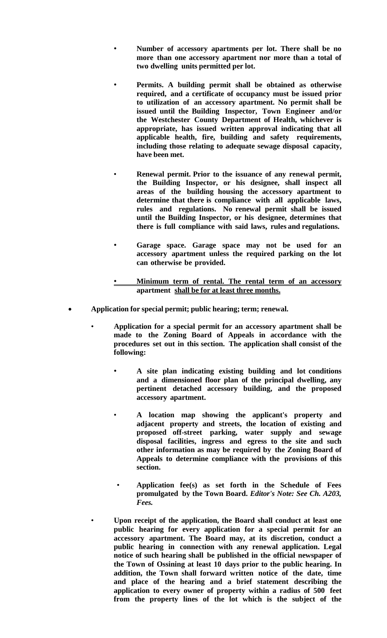- **Number of accessory apartments per lot. There shall be no more than one accessory apartment nor more than a total of two dwelling units permitted per lot.**
- **Permits. A building permit shall be obtained as otherwise required, and a certificate of occupancy must be issued prior to utilization of an accessory apartment. No permit shall be issued until the Building Inspector, Town Engineer and/or the Westchester County Department of Health, whichever is appropriate, has issued written approval indicating that all applicable health, fire, building and safety requirements, including those relating to adequate sewage disposal capacity, have been met.**
- **Renewal permit. Prior to the issuance of any renewal permit, the Building Inspector, or his designee, shall inspect all areas of the building housing the accessory apartment to determine that there is compliance with all applicable laws, rules and regulations. No renewal permit shall be issued until the Building Inspector, or his designee, determines that there is full compliance with said laws, rules and regulations.**
- **Garage space. Garage space may not be used for an accessory apartment unless the required parking on the lot can otherwise be provided.**
- **Minimum term of rental. The rental term of an accessory apartment shall be for at least three months.**
- **Application for special permit; public hearing; term; renewal.**
	- **Application for a special permit for an accessory apartment shall be made to the Zoning Board of Appeals in accordance with the procedures set out in this section. The application shall consist of the following:**
		- **A site plan indicating existing building and lot conditions and a dimensioned floor plan of the principal dwelling, any pertinent detached accessory building, and the proposed accessory apartment.**
		- **A location map showing the applicant's property and adjacent property and streets, the location of existing and proposed off-street parking, water supply and sewage disposal facilities, ingress and egress to the site and such other information as may be required by the Zoning Board of Appeals to determine compliance with the provisions of this section.**
		- **Application fee(s) as set forth in the Schedule of Fees promulgated by the Town Board.** *Editor's Note: See Ch. A203, Fees.*
		- **Upon receipt of the application, the Board shall conduct at least one public hearing for every application for a special permit for an accessory apartment. The Board may, at its discretion, conduct a public hearing in connection with any renewal application. Legal notice of such hearing shall be published in the official newspaper of the Town of Ossining at least 10 days prior to the public hearing. In addition, the Town shall forward written notice of the date, time and place of the hearing and a brief statement describing the application to every owner of property within a radius of 500 feet from the property lines of the lot which is the subject of the**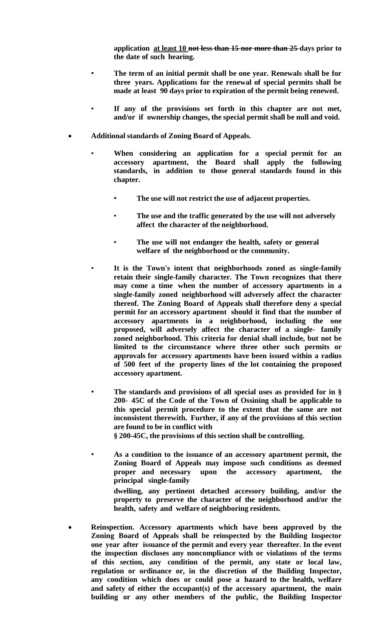**application at least 10 not less than 15 nor more than 25 days prior to the date of such hearing.**

- **The term of an initial permit shall be one year. Renewals shall be for three years. Applications for the renewal of special permits shall be made at least 90 days prior to expiration of the permit being renewed.**
- **If any of the provisions set forth in this chapter are not met, and/or if ownership changes, the special permit shall be null and void.**
- **Additional standards of Zoning Board of Appeals.**
	- **When considering an application for a special permit for an accessory apartment, the Board shall apply the following standards, in addition to those general standards found in this chapter.**
		- **The use will not restrict the use of adjacent properties.**
		- **The use and the traffic generated by the use will not adversely affect the character of the neighborhood.**
		- **The use will not endanger the health, safety or general welfare of the neighborhood or the community.**
		- **It is the Town's intent that neighborhoods zoned as single-family retain their single-family character. The Town recognizes that there may come a time when the number of accessory apartments in a single-family zoned neighborhood will adversely affect the character thereof. The Zoning Board of Appeals shall therefore deny a special permit for an accessory apartment should it find that the number of accessory apartments in a neighborhood, including the one proposed, will adversely affect the character of a single- family zoned neighborhood. This criteria for denial shall include, but not be limited to the circumstance where three other such permits or approvals for accessory apartments have been issued within a radius of 500 feet of the property lines of the lot containing the proposed accessory apartment.**
	- **The standards and provisions of all special uses as provided for in § 200- 45C of the Code of the Town of Ossining shall be applicable to this special permit procedure to the extent that the same are not inconsistent therewith. Further, if any of the provisions of this section are found to be in conflict with § 200-45C, the provisions of this section shall be controlling.**
	- **As a condition to the issuance of an accessory apartment permit, the Zoning Board of Appeals may impose such conditions as deemed proper and necessary upon the accessory apartment, the principal single-family dwelling, any pertinent detached accessory building, and/or the property to preserve the character of the neighborhood and/or the**
- **Reinspection. Accessory apartments which have been approved by the Zoning Board of Appeals shall be reinspected by the Building Inspector one year after issuance of the permit and every year thereafter. In the event the inspection discloses any noncompliance with or violations of the terms of this section, any condition of the permit, any state or local law, regulation or ordinance or, in the discretion of the Building Inspector, any condition which does or could pose a hazard to the health, welfare and safety of either the occupant(s) of the accessory apartment, the main building or any other members of the public, the Building Inspector**

**health, safety and welfare of neighboring residents.**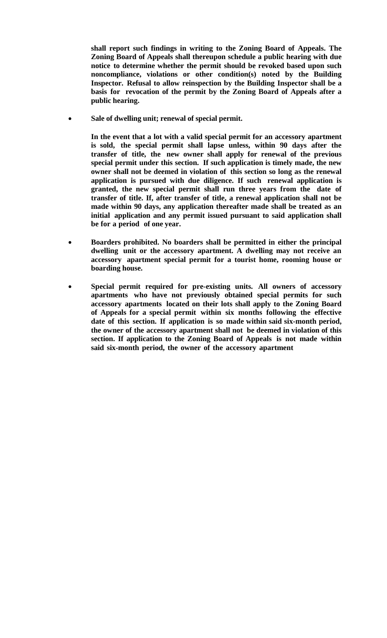**shall report such findings in writing to the Zoning Board of Appeals. The Zoning Board of Appeals shall thereupon schedule a public hearing with due notice to determine whether the permit should be revoked based upon such noncompliance, violations or other condition(s) noted by the Building Inspector. Refusal to allow reinspection by the Building Inspector shall be a basis for revocation of the permit by the Zoning Board of Appeals after a public hearing.**

**Sale of [dwelling](http://www.ecode360.com/8407171#8407206%238407206) unit; renewal of special permit.**

**In the event that a lot with a valid special permit for an accessory apartment is sold, the special permit shall lapse unless, within 90 days after the transfer of title, the new owner shall apply for renewal of the previous special permit under this section. If such application is timely made, the new owner shall not be deemed in violation of this section so long as the renewal application is pursued with due diligence. If such renewal application is granted, the new special permit shall run three years from the date of transfer of title. If, after transfer of title, a renewal application shall not be made within 90 days, any application thereafter made shall be treated as an initial application and any permit issued pursuant to said application shall be for a period of one year.**

- **Boarders prohibited. No boarders shall be permitted in either the principal dwelling unit or the accessory apartment. A dwelling may not receive an accessory apartment special permit for a tourist home, rooming house or boarding house.**
- **Special permit required for [pre-existing](http://www.ecode360.com/8407171#8407208%238407208) units. All owners of accessory apartments who have not previously obtained special permits for such accessory apartments located on their lots shall apply to the Zoning Board of Appeals for a special permit within six months following the effective date of this section. If application is so made within said six-month period, the owner of the accessory apartment shall not be deemed in violation of this section. If application to the Zoning Board of Appeals is not made within said six-month period, the owner of the accessory apartment**